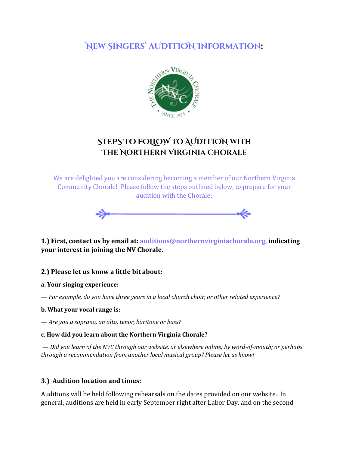# **New Singers' aUDITION Information**:



# **STEPS TO FOLLOW TO AUDITION WITH The Northern Virginia Chorale**

We are delighted you are considering becoming a member of our Northern Virginia Community Chorale! Please follow the steps outlined below, to prepare for your audition with the Chorale:



**1.) First, contact us by email at: auditions@northernvirginiachorale.org, indicating your interest in joining the NV Chorale.**

### **2.) Please let us know a little bit about:**

#### **a. Your singing experience:**

*— For example, do you have three years in a local church choir, or other related experience?*

#### **b. What your vocal range is:**

*— Are you a soprano, an alto, tenor, baritone or bass?*

#### **c. How did you learn about the Northern Virginia Chorale?**

 *— Did you learn of the NVC through our website, or elsewhere online; by word-of-mouth; or perhaps through a recommendation from another local musical group? Please let us know!*

### **3.) Audition location and times:**

Auditions will be held following rehearsals on the dates provided on our website. In general, auditions are held in early September right after Labor Day, and on the second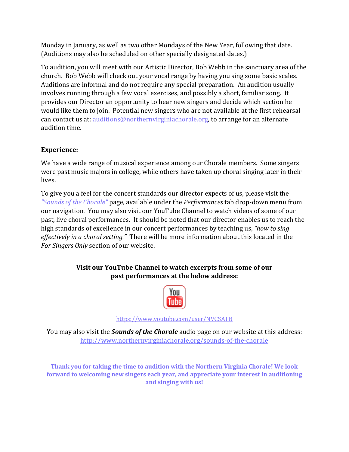Monday in January, as well as two other Mondays of the New Year, following that date. (Auditions may also be scheduled on other specially designated dates.)

To audition, you will meet with our Artistic Director, Bob Webb in the sanctuary area of the church. Bob Webb will check out your vocal range by having you sing some basic scales. Auditions are informal and do not require any special preparation. An audition usually involves running through a few vocal exercises, and possibly a short, familiar song. It provides our Director an opportunity to hear new singers and decide which section he would like them to join. Potential new singers who are not available at the first rehearsal can contact us at: auditions@northernvirginiachorale.org, to arrange for an alternate audition time.

## **Experience:**

We have a wide range of musical experience among our Chorale members. Some singers were past music majors in college, while others have taken up choral singing later in their lives.

To give you a feel for the concert standards our director expects of us, please visit the *["Sounds of the Chorale"](http://www.northernvirginiachorale.org/sounds-of-the-chorale)* page, available under the *Performances* tab drop-down menu from our navigation. You may also visit our YouTube Channel to watch videos of some of our past, live choral performances. It should be noted that our director enables us to reach the high standards of excellence in our concert performances by teaching us, *"how to sing effectively in a choral setting."* There will be more information about this located in the *For Singers Only* section of our website.

## **Visit our YouTube Channel to watch excerpts from some of our past performances at the below address:**



<https://www.youtube.com/user/NVCSATB>

You may also visit the *Sounds of the Chorale* audio page on our website at this address: <http://www.northernvirginiachorale.org/sounds-of-the-chorale>

**Thank you for taking the time to audition with the Northern Virginia Chorale! We look forward to welcoming new singers each year, and appreciate your interest in auditioning and singing with us!**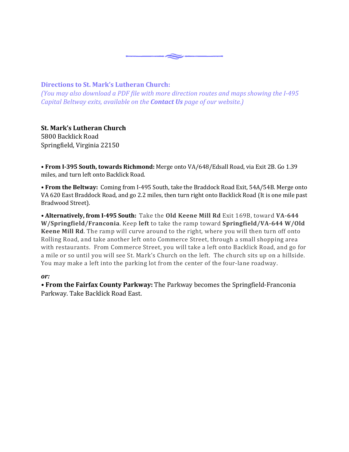

#### **Directions to St. Mark's Lutheran Church:**

*(You may also download a PDF file with more direction routes and maps showing the I-495 Capital Beltway exits, available on the Contact Us page of our website.)*

## **St. Mark's Lutheran Church**

5800 Backlick Road Springfield, Virginia 22150

**• From I-395 South, towards Richmond:** Merge onto VA/648/Edsall Road, via Exit 2B. Go 1.39 miles, and turn left onto Backlick Road.

*•* **From the Beltway:** Coming from I-495 South, take the Braddock Road Exit, 54A/54B. Merge onto VA 620 East Braddock Road, and go 2.2 miles, then turn right onto Backlick Road (It is one mile past Bradwood Street).

*•* **Alternatively, from I-495 South:** Take the **Old Keene Mill Rd** Exit 169B, toward **VA-644 W/Springfield/Franconia**. Keep **left** to take the ramp toward **Springfield/VA-644 W/Old Keene Mill Rd**. The ramp will curve around to the right, where you will then turn off onto Rolling Road, and take another left onto Commerce Street, through a small shopping area with restaurants. From Commerce Street, you will take a left onto Backlick Road, and go for a mile or so until you will see St. Mark's Church on the left. The church sits up on a hillside. You may make a left into the parking lot from the center of the four-lane roadway.

#### *or:*

*•* **From the Fairfax County Parkway:** The Parkway becomes the Springfield-Franconia Parkway. Take Backlick Road East.